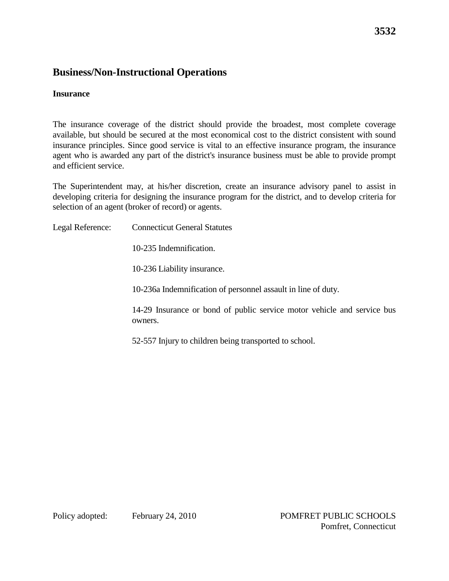## **Business/Non-Instructional Operations**

#### **Insurance**

The insurance coverage of the district should provide the broadest, most complete coverage available, but should be secured at the most economical cost to the district consistent with sound insurance principles. Since good service is vital to an effective insurance program, the insurance agent who is awarded any part of the district's insurance business must be able to provide prompt and efficient service.

The Superintendent may, at his/her discretion, create an insurance advisory panel to assist in developing criteria for designing the insurance program for the district, and to develop criteria for selection of an agent (broker of record) or agents.

Legal Reference: Connecticut General Statutes 10-235 Indemnification. 10-236 Liability insurance. 10-236a Indemnification of personnel assault in line of duty. 14-29 Insurance or bond of public service motor vehicle and service bus owners. 52-557 Injury to children being transported to school.